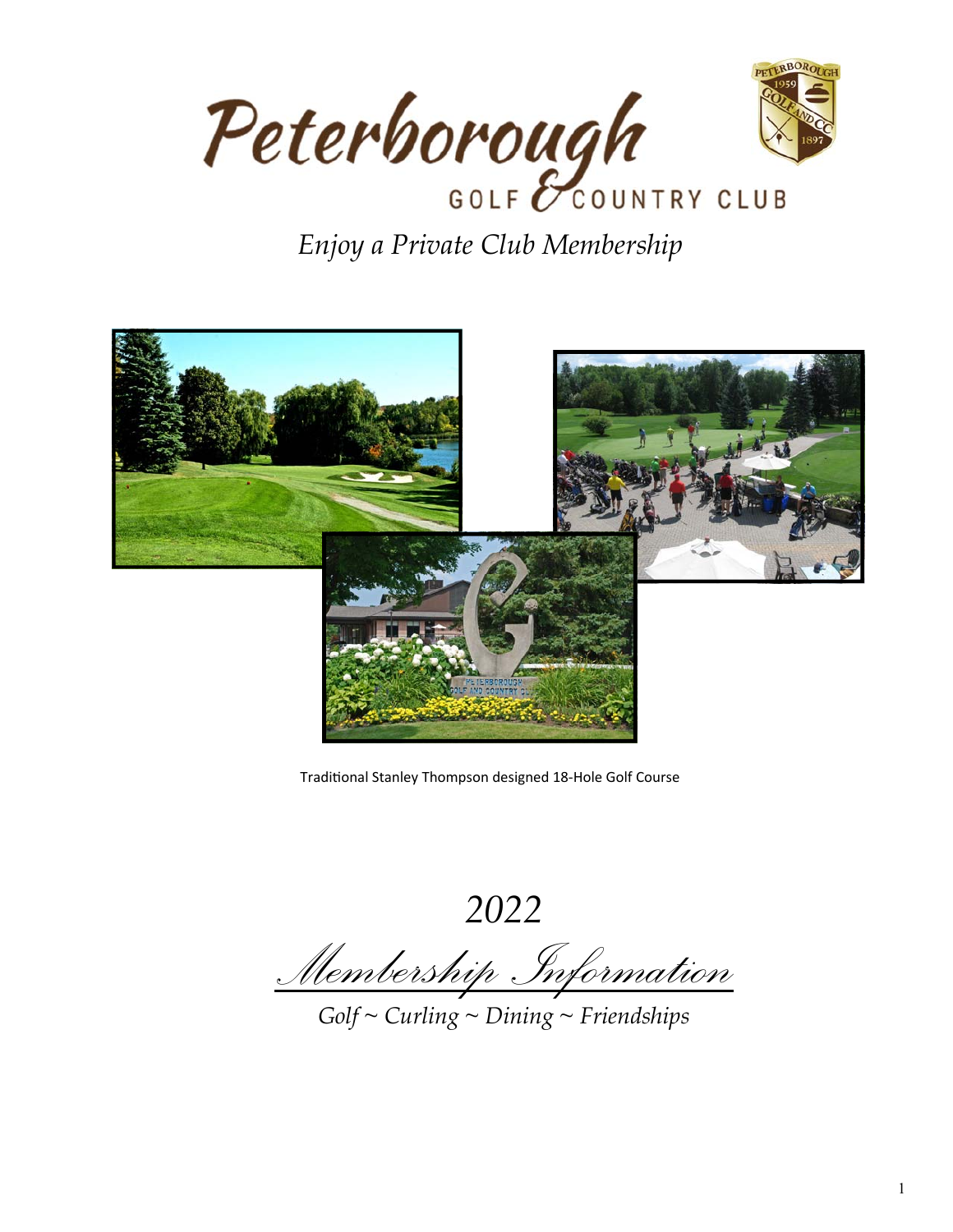

# *Enjoy a Private Club Membership*



Traditional Stanley Thompson designed 18-Hole Golf Course

*2022* 

*Membership Information* 

*Golf ~ Curling ~ Dining ~ Friendships*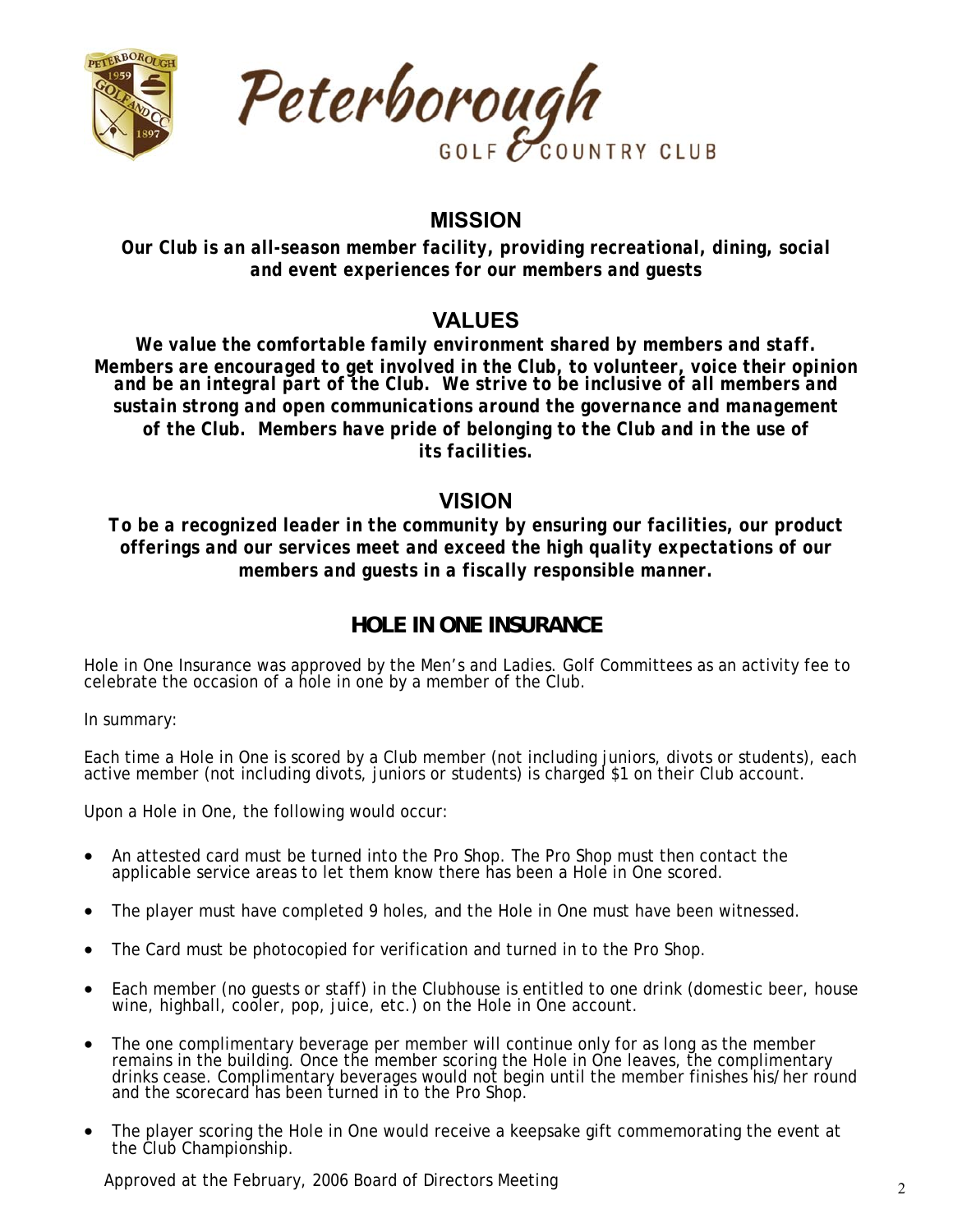



## **MISSION**

*Our Club is an all-season member facility, providing recreational, dining, social and event experiences for our members and guests* 

## **VALUES**

*We value the comfortable family environment shared by members and staff. Members are encouraged to get involved in the Club, to volunteer, voice their opinion and be an integral part of the Club. We strive to be inclusive of all members and sustain strong and open communications around the governance and management of the Club. Members have pride of belonging to the Club and in the use of its facilities.* 

## **VISION**

*To be a recognized leader in the community by ensuring our facilities, our product offerings and our services meet and exceed the high quality expectations of our members and guests in a fiscally responsible manner.* 

## **HOLE IN ONE INSURANCE**

Hole in One Insurance was approved by the Men's and Ladies. Golf Committees as an activity fee to celebrate the occasion of a hole in one by a member of the Club.

In summary:

Each time a Hole in One is scored by a Club member (not including juniors, divots or students), each active member (not including divots, juniors or students) is charged \$1 on their Club account.

Upon a Hole in One, the following would occur:

- An attested card must be turned into the Pro Shop. The Pro Shop must then contact the applicable service areas to let them know there has been a Hole in One scored.
- The player must have completed 9 holes, and the Hole in One must have been witnessed.
- The Card must be photocopied for verification and turned in to the Pro Shop.
- Each member (no guests or staff) in the Clubhouse is entitled to one drink (domestic beer, house wine, highball, cooler, pop, juice, etc.) on the Hole in One account.
- The one complimentary beverage per member will continue only for as long as the member remains in the building. Once the member scoring the Hole in One leaves, the complimentary<br>drinks cease. Complimentary beverages would not begin until the member finishes his/her round<br>and the scorecard has been turned in
- The player scoring the Hole in One would receive a keepsake gift commemorating the event at the Club Championship.

Approved at the February, 2006 Board of Directors Meeting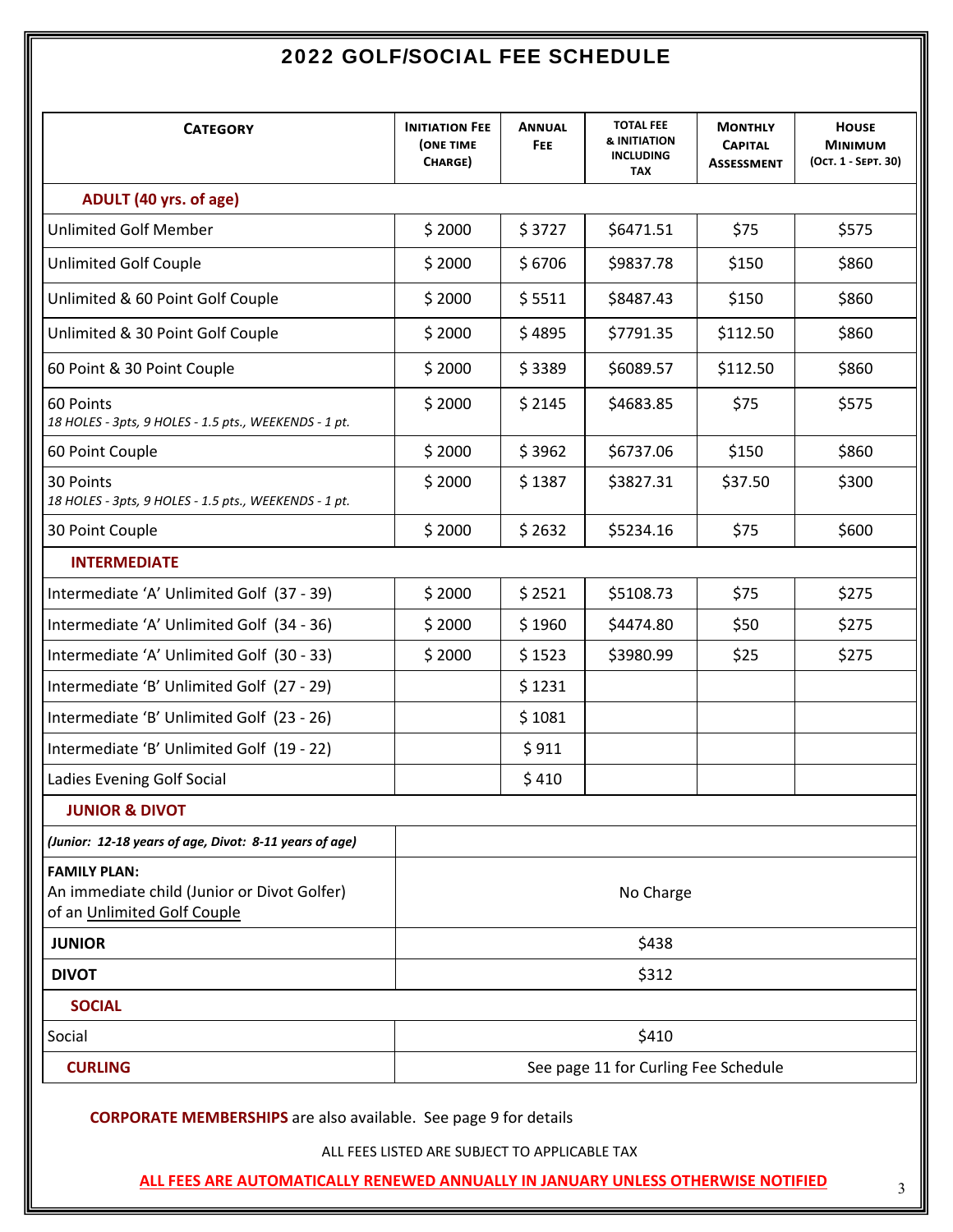## 2022 GOLF/SOCIAL FEE SCHEDULE

| <b>CATEGORY</b>                                                                                   | <b>INITIATION FEE</b><br><b>(ONE TIME</b><br>CHARGE) | <b>ANNUAL</b><br>FEE. | <b>TOTAL FEE</b><br>& INITIATION<br><b>INCLUDING</b><br><b>TAX</b> | <b>MONTHLY</b><br><b>CAPITAL</b><br><b>ASSESSMENT</b> | <b>HOUSE</b><br><b>MINIMUM</b><br>(Ост. 1 - SEPT. 30) |
|---------------------------------------------------------------------------------------------------|------------------------------------------------------|-----------------------|--------------------------------------------------------------------|-------------------------------------------------------|-------------------------------------------------------|
| ADULT (40 yrs. of age)                                                                            |                                                      |                       |                                                                    |                                                       |                                                       |
| <b>Unlimited Golf Member</b>                                                                      | \$2000                                               | \$3727                | \$6471.51                                                          | \$75                                                  | \$575                                                 |
| <b>Unlimited Golf Couple</b>                                                                      | \$2000                                               | \$6706                | \$9837.78                                                          | \$150                                                 | \$860                                                 |
| Unlimited & 60 Point Golf Couple                                                                  | \$2000                                               | \$5511                | \$8487.43                                                          | \$150                                                 | \$860                                                 |
| Unlimited & 30 Point Golf Couple                                                                  | \$2000                                               | \$4895                | \$7791.35                                                          | \$112.50                                              | \$860                                                 |
| 60 Point & 30 Point Couple                                                                        | \$2000                                               | \$3389                | \$6089.57                                                          | \$112.50                                              | \$860                                                 |
| 60 Points<br>18 HOLES - 3pts, 9 HOLES - 1.5 pts., WEEKENDS - 1 pt.                                | \$2000                                               | \$2145                | \$4683.85                                                          | \$75                                                  | \$575                                                 |
| 60 Point Couple                                                                                   | \$2000                                               | \$3962                | \$6737.06                                                          | \$150                                                 | \$860                                                 |
| 30 Points<br>18 HOLES - 3pts, 9 HOLES - 1.5 pts., WEEKENDS - 1 pt.                                | \$2000                                               | \$1387                | \$3827.31                                                          | \$37.50                                               | \$300                                                 |
| 30 Point Couple                                                                                   | \$2000                                               | \$2632                | \$5234.16                                                          | \$75                                                  | \$600                                                 |
| <b>INTERMEDIATE</b>                                                                               |                                                      |                       |                                                                    |                                                       |                                                       |
| Intermediate 'A' Unlimited Golf (37 - 39)                                                         | \$2000                                               | \$2521                | \$5108.73                                                          | \$75                                                  | \$275                                                 |
| Intermediate 'A' Unlimited Golf (34 - 36)                                                         | \$2000                                               | \$1960                | \$4474.80                                                          | \$50                                                  | \$275                                                 |
| Intermediate 'A' Unlimited Golf (30 - 33)                                                         | \$2000                                               | \$1523                | \$3980.99                                                          | \$25                                                  | \$275                                                 |
| Intermediate 'B' Unlimited Golf (27 - 29)                                                         |                                                      | \$1231                |                                                                    |                                                       |                                                       |
| Intermediate 'B' Unlimited Golf (23 - 26)                                                         |                                                      | \$1081                |                                                                    |                                                       |                                                       |
| Intermediate 'B' Unlimited Golf (19 - 22)                                                         |                                                      | \$911                 |                                                                    |                                                       |                                                       |
| Ladies Evening Golf Social                                                                        |                                                      | \$410                 |                                                                    |                                                       |                                                       |
| <b>JUNIOR &amp; DIVOT</b>                                                                         |                                                      |                       |                                                                    |                                                       |                                                       |
| (Junior: 12-18 years of age, Divot: 8-11 years of age)                                            |                                                      |                       |                                                                    |                                                       |                                                       |
| <b>FAMILY PLAN:</b><br>An immediate child (Junior or Divot Golfer)<br>of an Unlimited Golf Couple |                                                      |                       | No Charge                                                          |                                                       |                                                       |
| <b>JUNIOR</b>                                                                                     | \$438                                                |                       |                                                                    |                                                       |                                                       |
| <b>DIVOT</b>                                                                                      |                                                      |                       | \$312                                                              |                                                       |                                                       |
| <b>SOCIAL</b>                                                                                     |                                                      |                       |                                                                    |                                                       |                                                       |
| Social                                                                                            |                                                      |                       | \$410                                                              |                                                       |                                                       |
| <b>CURLING</b>                                                                                    |                                                      |                       | See page 11 for Curling Fee Schedule                               |                                                       |                                                       |

 **CORPORATE MEMBERSHIPS** are also available. See page 9 for details

ALL FEES LISTED ARE SUBJECT TO APPLICABLE TAX

 **ALL FEES ARE AUTOMATICALLY RENEWED ANNUALLY IN JANUARY UNLESS OTHERWISE NOTIFIED**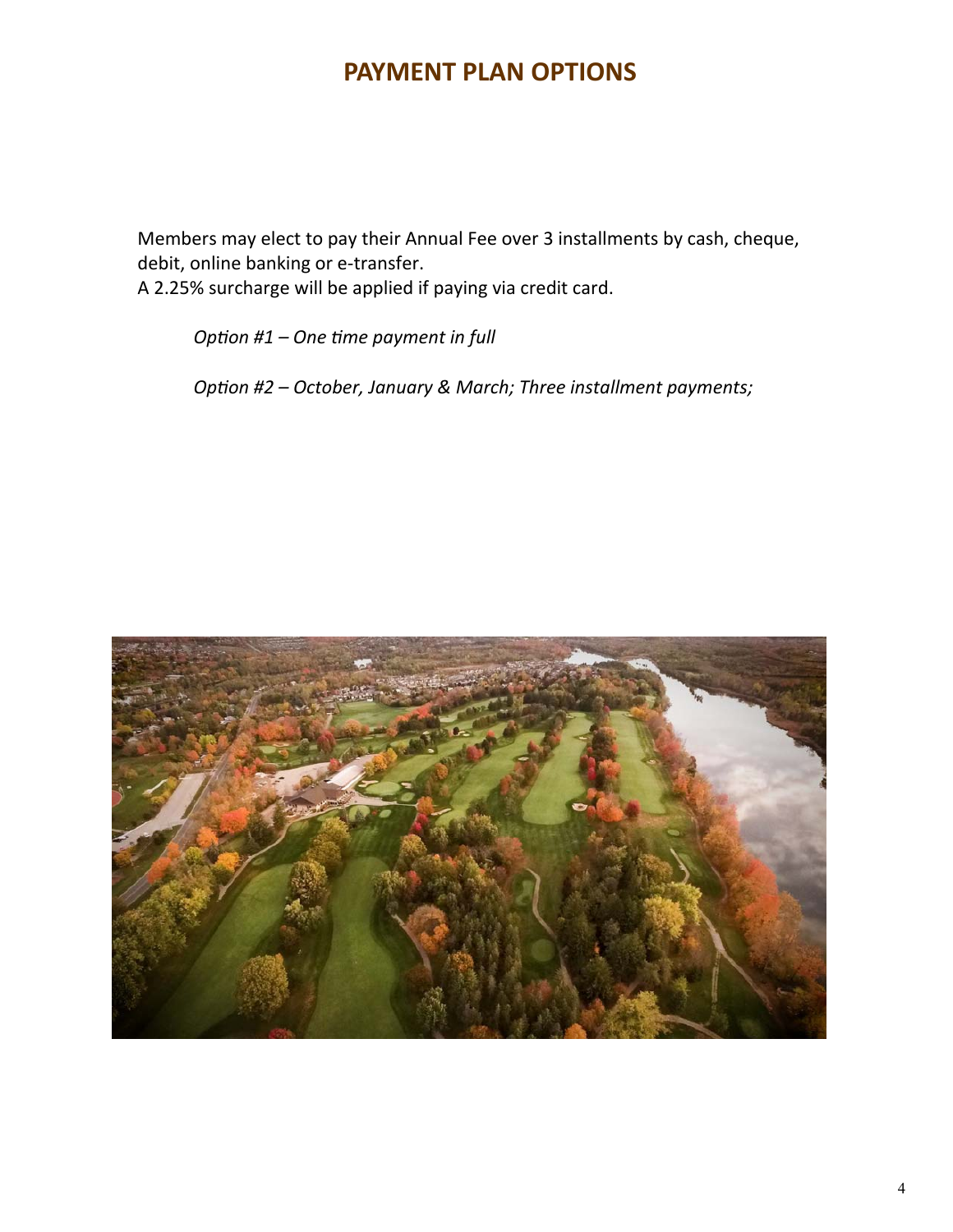## **PAYMENT PLAN OPTIONS**

 Members may elect to pay their Annual Fee over 3 installments by cash, cheque, debit, online banking or e-transfer.

A 2.25% surcharge will be applied if paying via credit card.

*OpƟon #1 – One Ɵme payment in full* 

*Option #2 – October, January & March; Three installment payments;* 

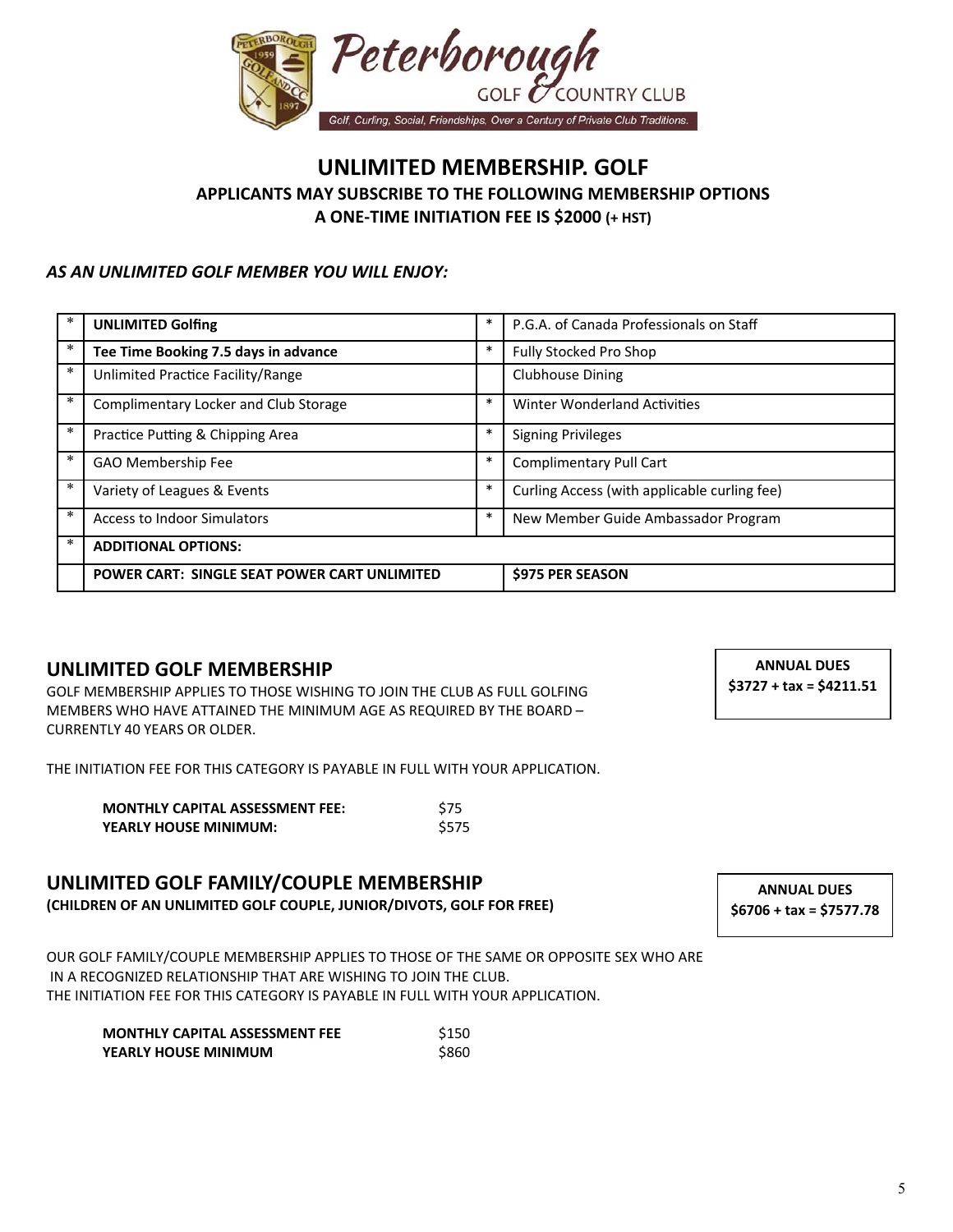

#### **UNLIMITED MEMBERSHIP. GOLF APPLICANTS MAY SUBSCRIBE TO THE FOLLOWING MEMBERSHIP OPTIONS A ONE‐TIME INITIATION FEE IS \$2000 (+ HST)**

#### *AS AN UNLIMITED GOLF MEMBER YOU WILL ENJOY:*

| *      | <b>UNLIMITED Golfing</b>                     | $\ast$ | P.G.A. of Canada Professionals on Staff      |
|--------|----------------------------------------------|--------|----------------------------------------------|
| *      | Tee Time Booking 7.5 days in advance         | $\ast$ | <b>Fully Stocked Pro Shop</b>                |
| *      | Unlimited Practice Facility/Range            |        | <b>Clubhouse Dining</b>                      |
| $\ast$ | Complimentary Locker and Club Storage        | $\ast$ | Winter Wonderland Activities                 |
| *      | Practice Putting & Chipping Area             | *      | <b>Signing Privileges</b>                    |
| *      | <b>GAO Membership Fee</b>                    | $\ast$ | <b>Complimentary Pull Cart</b>               |
| *      | Variety of Leagues & Events                  | $\ast$ | Curling Access (with applicable curling fee) |
| *      | Access to Indoor Simulators                  | $\ast$ | New Member Guide Ambassador Program          |
| *      | <b>ADDITIONAL OPTIONS:</b>                   |        |                                              |
|        | POWER CART: SINGLE SEAT POWER CART UNLIMITED |        | <b>S975 PER SEASON</b>                       |

#### **UNLIMITED GOLF MEMBERSHIP**

GOLF MEMBERSHIP APPLIES TO THOSE WISHING TO JOIN THE CLUB AS FULL GOLFING MEMBERS WHO HAVE ATTAINED THE MINIMUM AGE AS REQUIRED BY THE BOARD – CURRENTLY 40 YEARS OR OLDER.

THE INITIATION FEE FOR THIS CATEGORY IS PAYABLE IN FULL WITH YOUR APPLICATION.

| <b>MONTHLY CAPITAL ASSESSMENT FEE:</b> | <b>S75</b> |
|----------------------------------------|------------|
| <b>YEARLY HOUSE MINIMUM:</b>           | \$575      |

#### **UNLIMITED GOLF FAMILY/COUPLE MEMBERSHIP**

**(CHILDREN OF AN UNLIMITED GOLF COUPLE, JUNIOR/DIVOTS, GOLF FOR FREE)** 

OUR GOLF FAMILY/COUPLE MEMBERSHIP APPLIES TO THOSE OF THE SAME OR OPPOSITE SEX WHO ARE IN A RECOGNIZED RELATIONSHIP THAT ARE WISHING TO JOIN THE CLUB. THE INITIATION FEE FOR THIS CATEGORY IS PAYABLE IN FULL WITH YOUR APPLICATION.

| <b>MONTHLY CAPITAL ASSESSMENT FEE</b> | \$150 |
|---------------------------------------|-------|
| YEARLY HOUSE MINIMUM                  | \$860 |

**ANNUAL DUES \$3727 + tax = \$4211.51** 

**ANNUAL DUES \$6706 + tax = \$7577.78**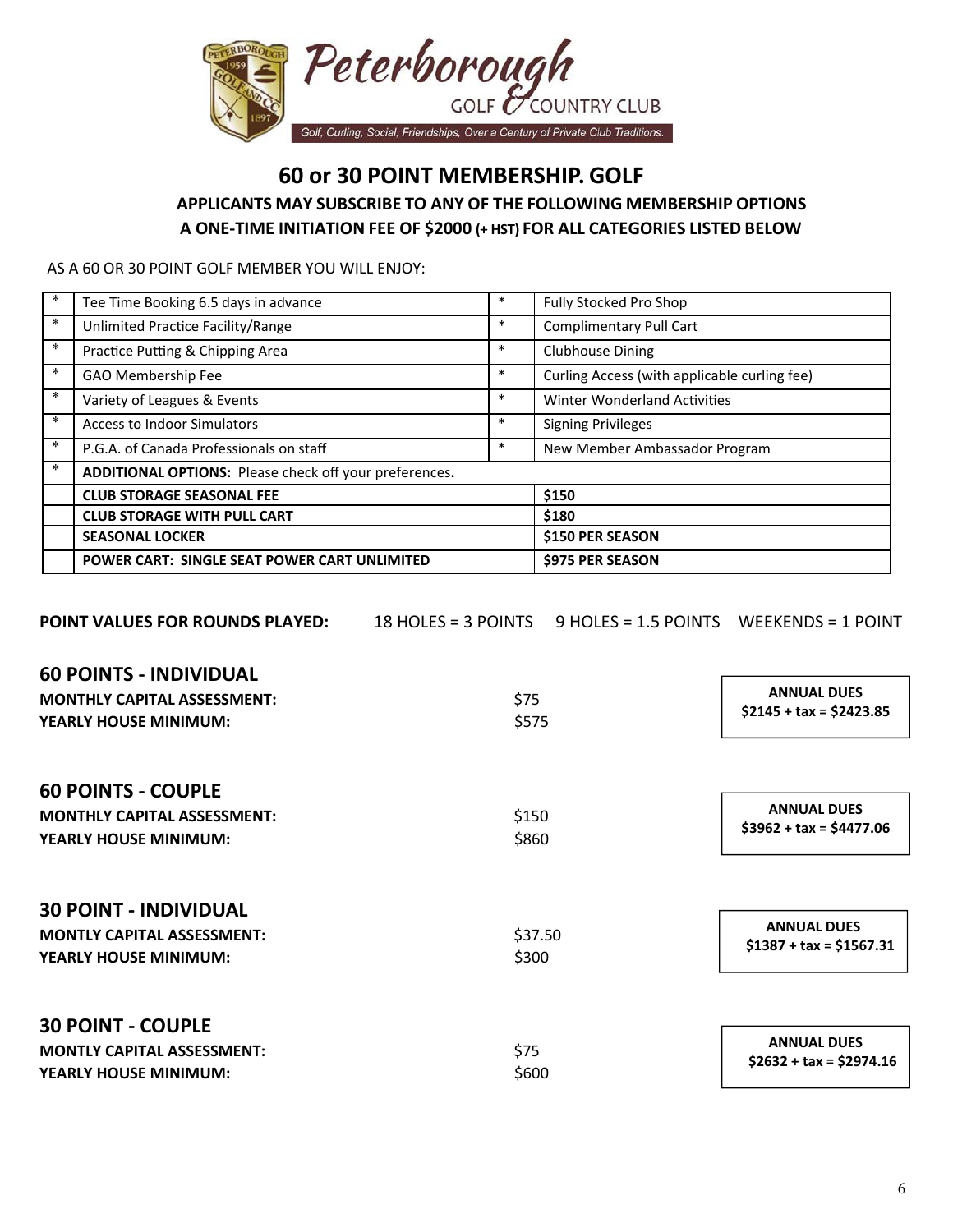

**60 or 30 POINT MEMBERSHIP. GOLF**

**APPLICANTS MAY SUBSCRIBE TO ANY OF THE FOLLOWING MEMBERSHIP OPTIONS A ONE‐TIME INITIATION FEE OF \$2000 (+ HST) FOR ALL CATEGORIES LISTED BELOW**

AS A 60 OR 30 POINT GOLF MEMBER YOU WILL ENJOY:

| *      | Tee Time Booking 6.5 days in advance                          | $\ast$ | Fully Stocked Pro Shop                       |
|--------|---------------------------------------------------------------|--------|----------------------------------------------|
| ∗      | Unlimited Practice Facility/Range                             | $\ast$ | <b>Complimentary Pull Cart</b>               |
| $\ast$ | Practice Putting & Chipping Area                              | $\ast$ | <b>Clubhouse Dining</b>                      |
| $\ast$ | GAO Membership Fee                                            | $\ast$ | Curling Access (with applicable curling fee) |
| $\ast$ | Variety of Leagues & Events                                   | $\ast$ | <b>Winter Wonderland Activities</b>          |
| $\ast$ | <b>Access to Indoor Simulators</b>                            | $\ast$ | <b>Signing Privileges</b>                    |
| $\ast$ | P.G.A. of Canada Professionals on staff                       | $\ast$ | New Member Ambassador Program                |
| $\ast$ | <b>ADDITIONAL OPTIONS:</b> Please check off your preferences. |        |                                              |
|        | <b>CLUB STORAGE SEASONAL FEE</b>                              |        | \$150                                        |
|        | <b>CLUB STORAGE WITH PULL CART</b>                            |        | \$180                                        |
|        | <b>SEASONAL LOCKER</b>                                        |        | \$150 PER SEASON                             |
|        | POWER CART: SINGLE SEAT POWER CART UNLIMITED                  |        | \$975 PER SEASON                             |

| <b>POINT VALUES FOR ROUNDS PLAYED:</b> |         | 18 HOLES = 3 POINTS 9 HOLES = 1.5 POINTS WEEKENDS = 1 POINT |                                                |
|----------------------------------------|---------|-------------------------------------------------------------|------------------------------------------------|
| <b>60 POINTS - INDIVIDUAL</b>          |         |                                                             |                                                |
| <b>MONTHLY CAPITAL ASSESSMENT:</b>     | \$75    |                                                             | <b>ANNUAL DUES</b><br>$$2145 + tax = $2423.85$ |
| <b>YEARLY HOUSE MINIMUM:</b>           | \$575   |                                                             |                                                |
| <b>60 POINTS - COUPLE</b>              |         |                                                             |                                                |
| <b>MONTHLY CAPITAL ASSESSMENT:</b>     | \$150   |                                                             | <b>ANNUAL DUES</b>                             |
| <b>YEARLY HOUSE MINIMUM:</b>           | \$860   |                                                             | $$3962 + tax = $4477.06$                       |
| <b>30 POINT - INDIVIDUAL</b>           |         |                                                             |                                                |
| <b>MONTLY CAPITAL ASSESSMENT:</b>      | \$37.50 |                                                             | <b>ANNUAL DUES</b><br>$$1387 + tax = $1567.31$ |
| <b>YEARLY HOUSE MINIMUM:</b>           | \$300   |                                                             |                                                |
| <b>30 POINT - COUPLE</b>               |         |                                                             |                                                |
| <b>MONTLY CAPITAL ASSESSMENT:</b>      | \$75    |                                                             | <b>ANNUAL DUES</b>                             |
| <b>YEARLY HOUSE MINIMUM:</b>           | \$600   |                                                             | $$2632 + tax = $2974.16$                       |
|                                        |         |                                                             |                                                |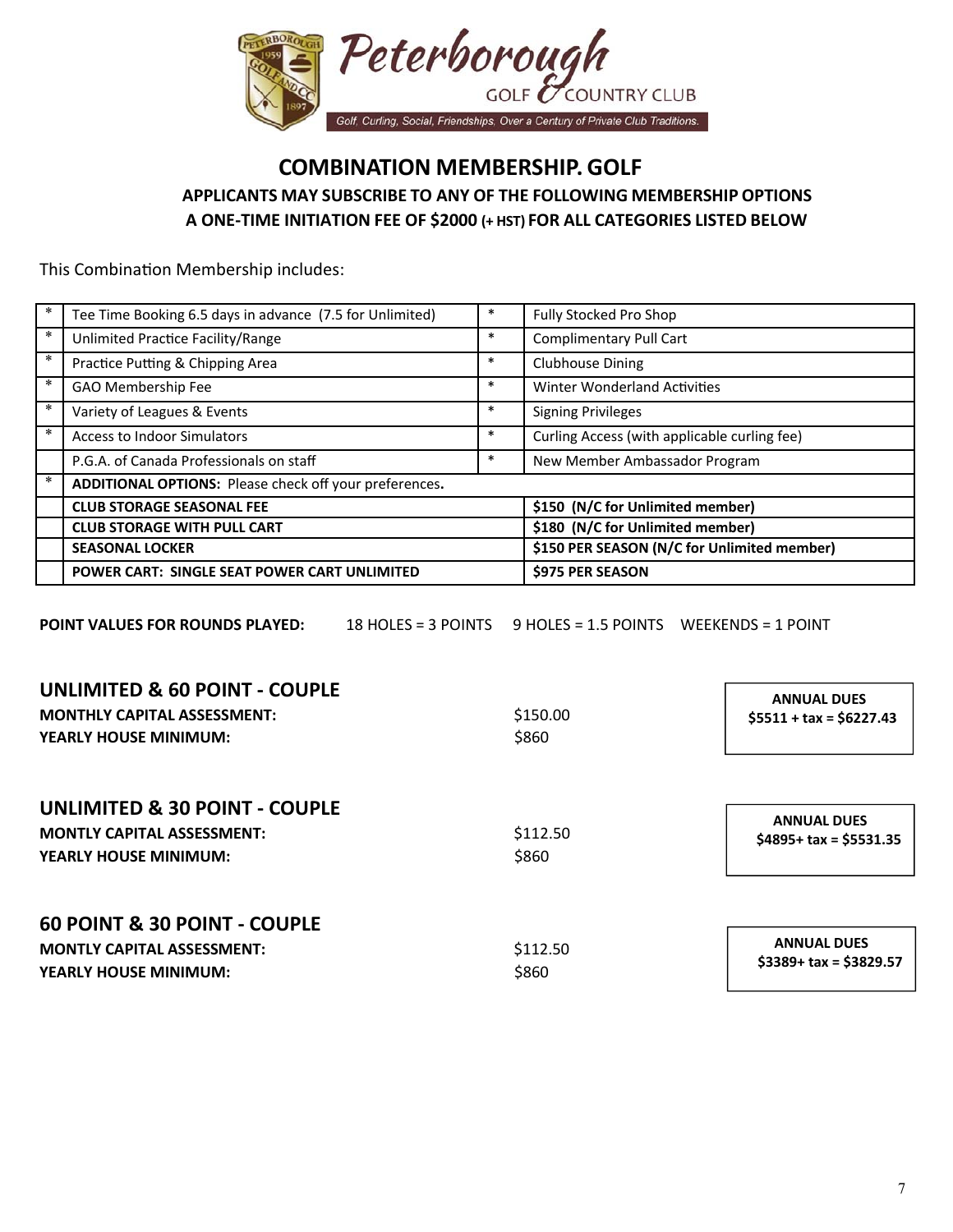

## **COMBINATION MEMBERSHIP. GOLF APPLICANTS MAY SUBSCRIBE TO ANY OF THE FOLLOWING MEMBERSHIP OPTIONS A ONE‐TIME INITIATION FEE OF \$2000 (+ HST) FOR ALL CATEGORIES LISTED BELOW**

This Combination Membership includes:

| ∗      | Tee Time Booking 6.5 days in advance (7.5 for Unlimited) |        | Fully Stocked Pro Shop                       |
|--------|----------------------------------------------------------|--------|----------------------------------------------|
| $\ast$ | Unlimited Practice Facility/Range                        | $\ast$ | Complimentary Pull Cart                      |
| $\ast$ | Practice Putting & Chipping Area                         | $\ast$ | <b>Clubhouse Dining</b>                      |
| ∗      | GAO Membership Fee                                       | $\ast$ | <b>Winter Wonderland Activities</b>          |
| *      | Variety of Leagues & Events                              | $\ast$ | <b>Signing Privileges</b>                    |
| *      | <b>Access to Indoor Simulators</b>                       | $\ast$ | Curling Access (with applicable curling fee) |
|        | P.G.A. of Canada Professionals on staff                  | ∗      | New Member Ambassador Program                |
| *      | ADDITIONAL OPTIONS: Please check off your preferences.   |        |                                              |
|        | <b>CLUB STORAGE SEASONAL FEE</b>                         |        | \$150 (N/C for Unlimited member)             |
|        | <b>CLUB STORAGE WITH PULL CART</b>                       |        | \$180 (N/C for Unlimited member)             |
|        | <b>SEASONAL LOCKER</b>                                   |        | \$150 PER SEASON (N/C for Unlimited member)  |
|        | POWER CART: SINGLE SEAT POWER CART UNLIMITED             |        | <b>S975 PER SEASON</b>                       |

**POINT VALUES FOR ROUNDS PLAYED:** 18 HOLES = 3 POINTS 9 HOLES = 1.5 POINTS WEEKENDS = 1 POINT

| <b>UNLIMITED &amp; 60 POINT - COUPLE</b><br><b>MONTHLY CAPITAL ASSESSMENT:</b><br><b>YEARLY HOUSE MINIMUM:</b> | \$150.00<br>\$860 | <b>ANNUAL DUES</b><br>$$5511 + tax = $6227.43$ |
|----------------------------------------------------------------------------------------------------------------|-------------------|------------------------------------------------|
| <b>UNLIMITED &amp; 30 POINT - COUPLE</b><br><b>MONTLY CAPITAL ASSESSMENT:</b><br><b>YEARLY HOUSE MINIMUM:</b>  | \$112.50<br>\$860 | <b>ANNUAL DUES</b><br>$$4895+$ tax = \$5531.35 |
| <b>60 POINT &amp; 30 POINT - COUPLE</b><br><b>MONTLY CAPITAL ASSESSMENT:</b><br>YEARLY HOUSE MINIMUM:          | \$112.50<br>\$860 | <b>ANNUAL DUES</b><br>$$3389+$ tax = \$3829.57 |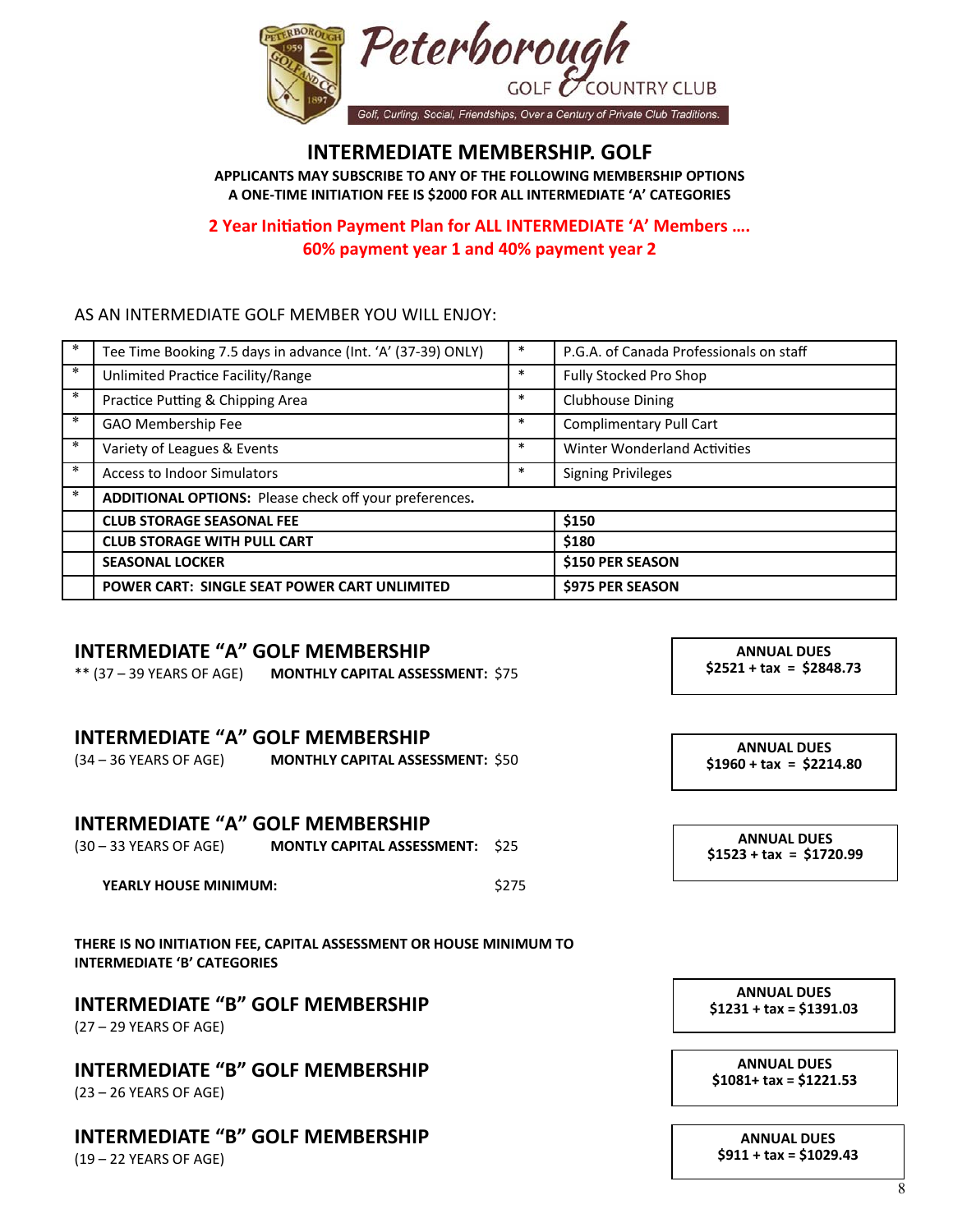

### **INTERMEDIATE MEMBERSHIP. GOLF**

**APPLICANTS MAY SUBSCRIBE TO ANY OF THE FOLLOWING MEMBERSHIP OPTIONS A ONE‐TIME INITIATION FEE IS \$2000 FOR ALL INTERMEDIATE 'A' CATEGORIES** 

#### **2 Year IniƟaƟon Payment Plan for ALL INTERMEDIATE 'A' Members …. 60% payment year 1 and 40% payment year 2**

#### AS AN INTERMEDIATE GOLF MEMBER YOU WILL ENJOY:

| *      | Tee Time Booking 7.5 days in advance (Int. 'A' (37-39) ONLY) | * | P.G.A. of Canada Professionals on staff |
|--------|--------------------------------------------------------------|---|-----------------------------------------|
| $\ast$ | Unlimited Practice Facility/Range                            | * | Fully Stocked Pro Shop                  |
| $\ast$ | Practice Putting & Chipping Area                             | * | <b>Clubhouse Dining</b>                 |
| ∗      | GAO Membership Fee                                           | * | Complimentary Pull Cart                 |
| $\ast$ | Variety of Leagues & Events                                  | * | <b>Winter Wonderland Activities</b>     |
| $\ast$ | <b>Access to Indoor Simulators</b>                           | * | <b>Signing Privileges</b>               |
| $\ast$ | ADDITIONAL OPTIONS: Please check off your preferences.       |   |                                         |
|        | <b>CLUB STORAGE SEASONAL FEE</b>                             |   | \$150                                   |
|        | <b>CLUB STORAGE WITH PULL CART</b>                           |   | \$180                                   |
|        | <b>SEASONAL LOCKER</b>                                       |   | <b>\$150 PER SEASON</b>                 |
|        | <b>POWER CART: SINGLE SEAT POWER CART UNLIMITED</b>          |   | <b>S975 PER SEASON</b>                  |

#### **INTERMEDIATE "A" GOLF MEMBERSHIP**

\*\* (37 – 39 YEARS OF AGE) **MONTHLY CAPITAL ASSESSMENT:** \$75

#### **INTERMEDIATE "A" GOLF MEMBERSHIP**

| (34 – 36 YEARS OF AGE) | <b>MONTHLY CAPITAL ASSESSMENT: \$50</b> |  |
|------------------------|-----------------------------------------|--|
|                        |                                         |  |

#### **INTERMEDIATE "A" GOLF MEMBERSHIP**

| (30 – 33 YEARS OF AGE) | <b>MONTLY CAPITAL ASSESSMENT: \$25</b> |  |
|------------------------|----------------------------------------|--|
|                        |                                        |  |

**YEARLY HOUSE MINIMUM:** \$275

**THERE IS NO INITIATION FEE, CAPITAL ASSESSMENT OR HOUSE MINIMUM TO INTERMEDIATE 'B' CATEGORIES** 

#### **INTERMEDIATE "B" GOLF MEMBERSHIP**

(27 – 29 YEARS OF AGE)

**INTERMEDIATE "B" GOLF MEMBERSHIP** 

(23 – 26 YEARS OF AGE)

## **INTERMEDIATE "B" GOLF MEMBERSHIP**

(19 – 22 YEARS OF AGE)

**ANNUAL DUES \$2521 + tax = \$2848.73** 

**ANNUAL DUES \$1960 + tax = \$2214.80** 

**ANNUAL DUES \$1523 + tax = \$1720.99**

**ANNUAL DUES \$1231 + tax = \$1391.03** 

**ANNUAL DUES \$1081+ tax = \$1221.53** 

**ANNUAL DUES \$911 + tax = \$1029.43**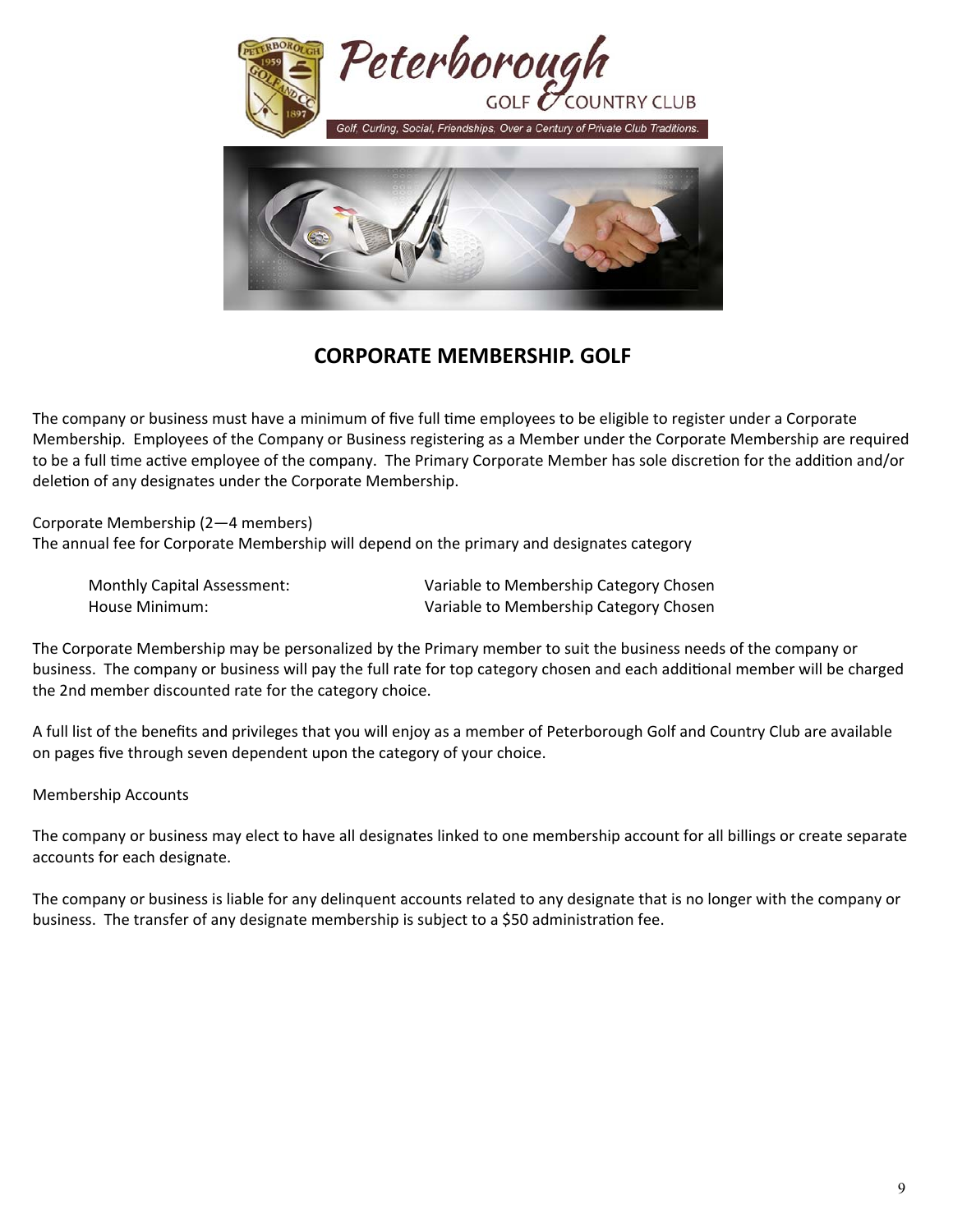

## **CORPORATE MEMBERSHIP. GOLF**

The company or business must have a minimum of five full time employees to be eligible to register under a Corporate Membership. Employees of the Company or Business registering as a Member under the Corporate Membership are required to be a full time active employee of the company. The Primary Corporate Member has sole discretion for the addition and/or deletion of any designates under the Corporate Membership.

Corporate Membership (2—4 members) The annual fee for Corporate Membership will depend on the primary and designates category

 Monthly Capital Assessment: Variable to Membership Category Chosen House Minimum: Variable to Membership Category Chosen

The Corporate Membership may be personalized by the Primary member to suit the business needs of the company or business. The company or business will pay the full rate for top category chosen and each additional member will be charged the 2nd member discounted rate for the category choice.

A full list of the benefits and privileges that you will enjoy as a member of Peterborough Golf and Country Club are available on pages five through seven dependent upon the category of your choice.

Membership Accounts

The company or business may elect to have all designates linked to one membership account for all billings or create separate accounts for each designate.

The company or business is liable for any delinquent accounts related to any designate that is no longer with the company or business. The transfer of any designate membership is subject to a \$50 administration fee.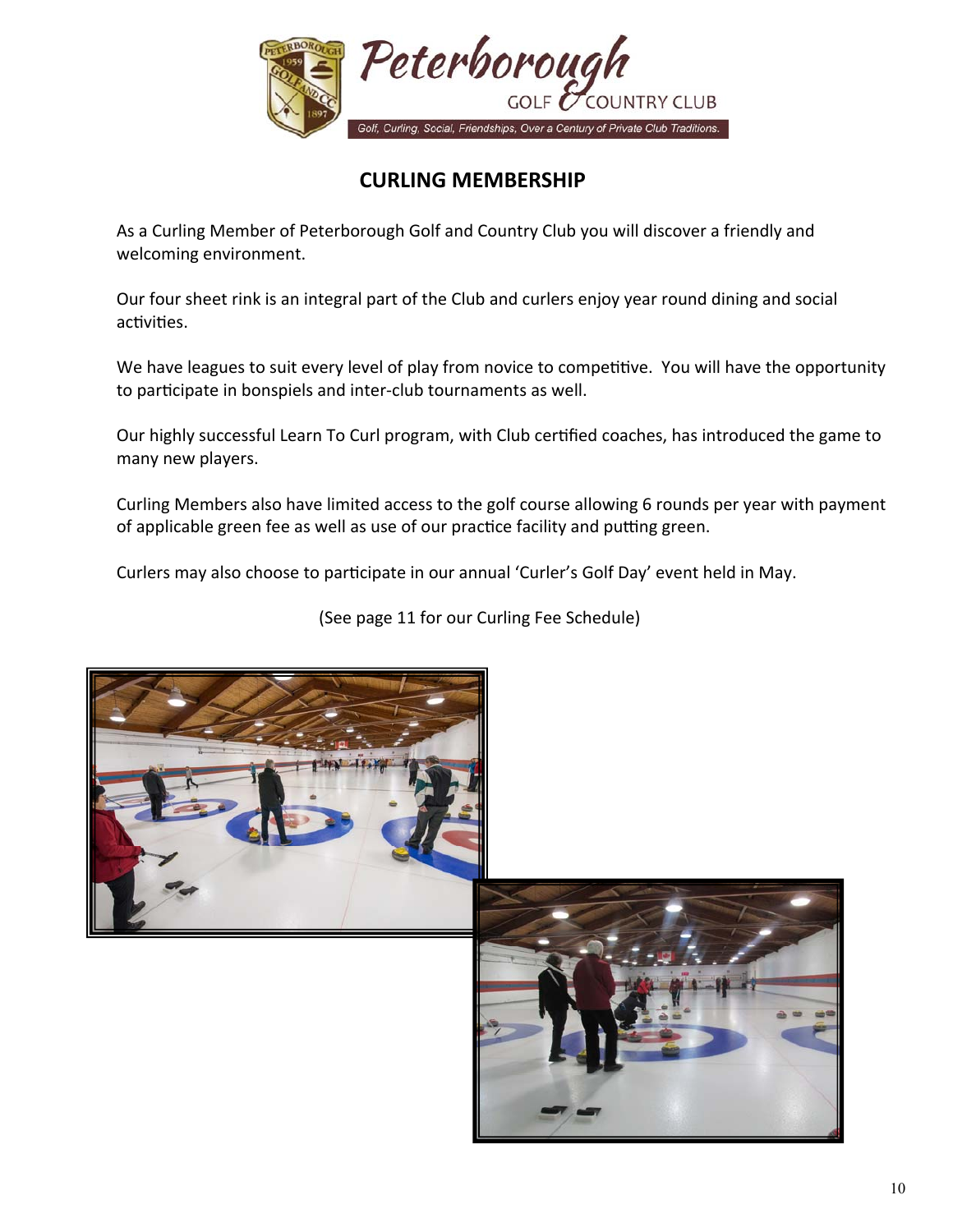

## **CURLING MEMBERSHIP**

 As a Curling Member of Peterborough Golf and Country Club you will discover a friendly and welcoming environment.

 Our four sheet rink is an integral part of the Club and curlers enjoy year round dining and social activities.

We have leagues to suit every level of play from novice to competitive. You will have the opportunity to participate in bonspiels and inter-club tournaments as well.

Our highly successful Learn To Curl program, with Club certified coaches, has introduced the game to many new players.

 Curling Members also have limited access to the golf course allowing 6 rounds per year with payment of applicable green fee as well as use of our practice facility and putting green.

Curlers may also choose to participate in our annual 'Curler's Golf Day' event held in May.

(See page 11 for our Curling Fee Schedule)

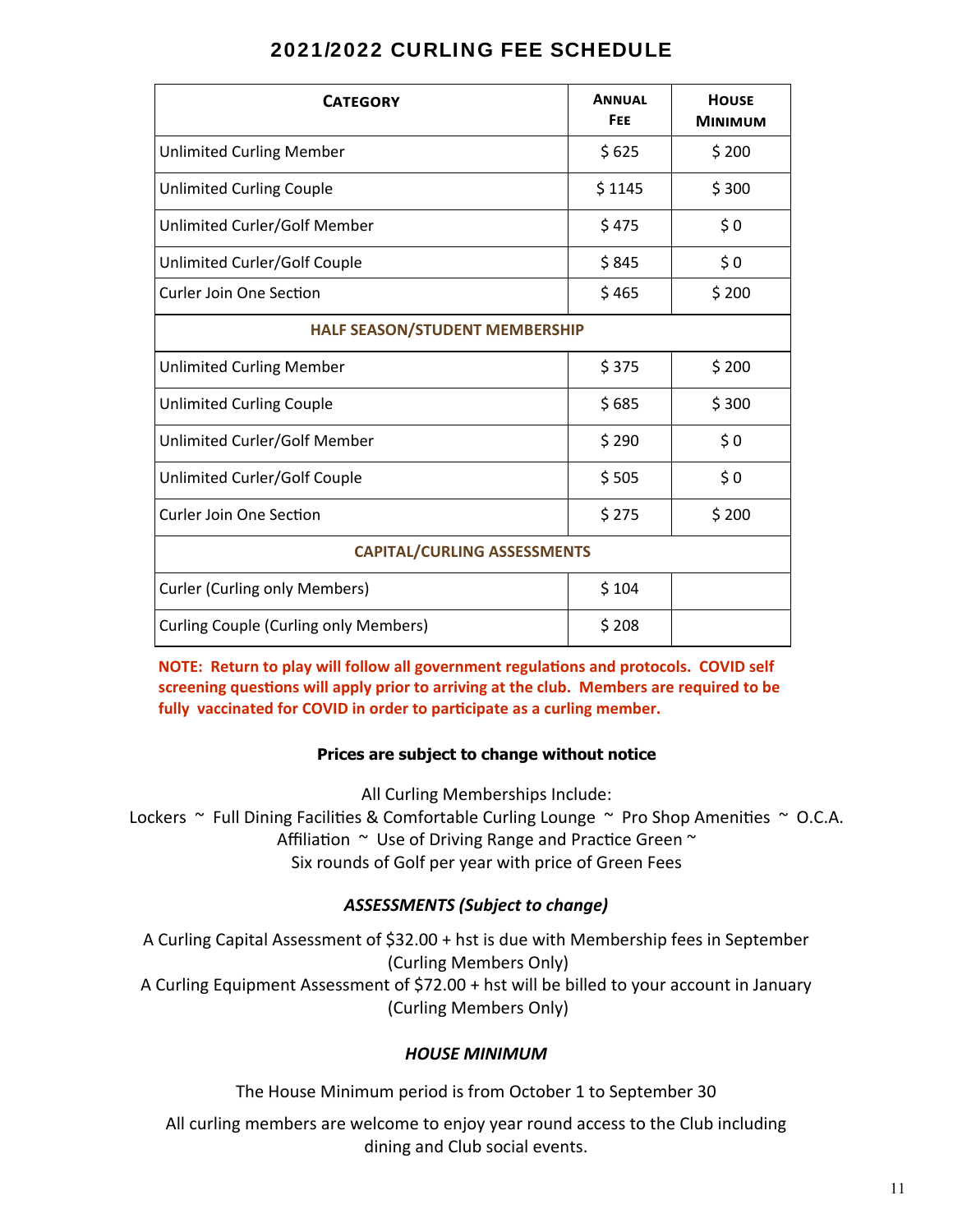| <b>CATEGORY</b>                              | <b>ANNUAL</b><br><b>FEE</b> | <b>HOUSE</b><br><b>MINIMUM</b> |
|----------------------------------------------|-----------------------------|--------------------------------|
| <b>Unlimited Curling Member</b>              | \$625                       | \$200                          |
| <b>Unlimited Curling Couple</b>              | \$1145                      | \$300                          |
| Unlimited Curler/Golf Member                 | \$475                       | \$0                            |
| Unlimited Curler/Golf Couple                 | \$845                       | \$0                            |
| <b>Curler Join One Section</b>               | \$465                       | \$200                          |
| <b>HALF SEASON/STUDENT MEMBERSHIP</b>        |                             |                                |
| <b>Unlimited Curling Member</b>              | \$375                       | \$200                          |
| <b>Unlimited Curling Couple</b>              | \$685                       | \$300                          |
| Unlimited Curler/Golf Member                 | \$290                       | \$0                            |
| Unlimited Curler/Golf Couple                 | \$505                       | \$0                            |
| <b>Curler Join One Section</b>               | \$275                       | \$200                          |
| <b>CAPITAL/CURLING ASSESSMENTS</b>           |                             |                                |
| <b>Curler (Curling only Members)</b>         | \$104                       |                                |
| <b>Curling Couple (Curling only Members)</b> | \$208                       |                                |

**NOTE: Return to play will follow all government regulations and protocols. COVID self** screening questions will apply prior to arriving at the club. Members are required to be fully vaccinated for COVID in order to participate as a curling member.

#### **Prices are subject to change without notice**

All Curling Memberships Include:

Lockers  $\sim$  Full Dining Facilities & Comfortable Curling Lounge  $\sim$  Pro Shop Amenities  $\sim$  O.C.A. Affiliation  $\sim$  Use of Driving Range and Practice Green  $\sim$ Six rounds of Golf per year with price of Green Fees

#### *ASSESSMENTS (Subject to change)*

A Curling Capital Assessment of \$32.00 + hst is due with Membership fees in September (Curling Members Only) A Curling Equipment Assessment of \$72.00 + hst will be billed to your account in January (Curling Members Only)

#### *HOUSE MINIMUM*

The House Minimum period is from October 1 to September 30

All curling members are welcome to enjoy year round access to the Club including dining and Club social events.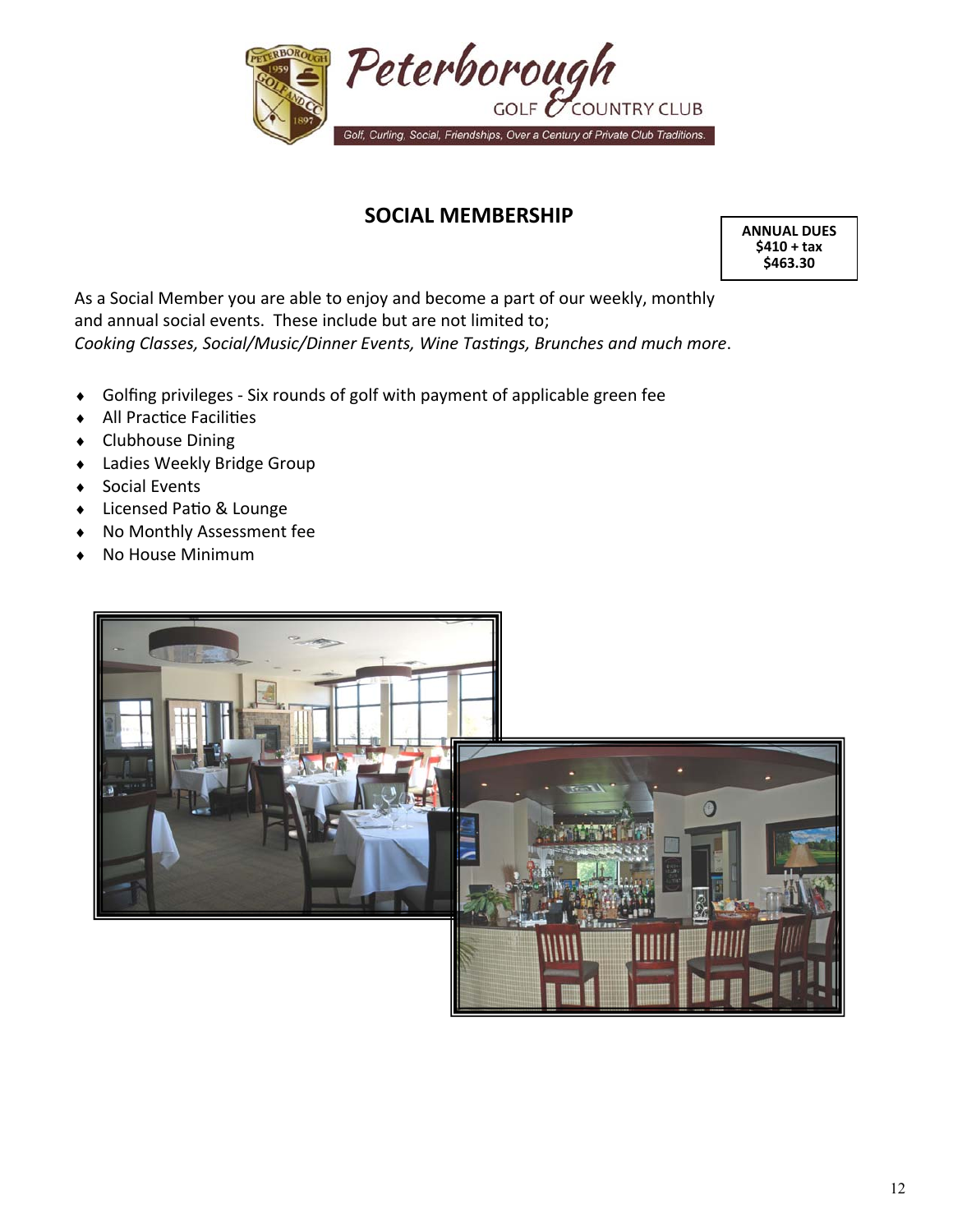

## **SOCIAL MEMBERSHIP**

**ANNUAL DUES \$410 + tax \$463.30** 

As a Social Member you are able to enjoy and become a part of our weekly, monthly and annual social events. These include but are not limited to; *Cooking Classes, Social/Music/Dinner Events, Wine Tastings, Brunches and much more.* 

- ◆ Golfing privileges Six rounds of golf with payment of applicable green fee
- ◆ All Practice Facilities
- ◆ Clubhouse Dining
- Ladies Weekly Bridge Group
- ◆ Social Events
- ◆ Licensed Patio & Lounge
- No Monthly Assessment fee
- No House Minimum

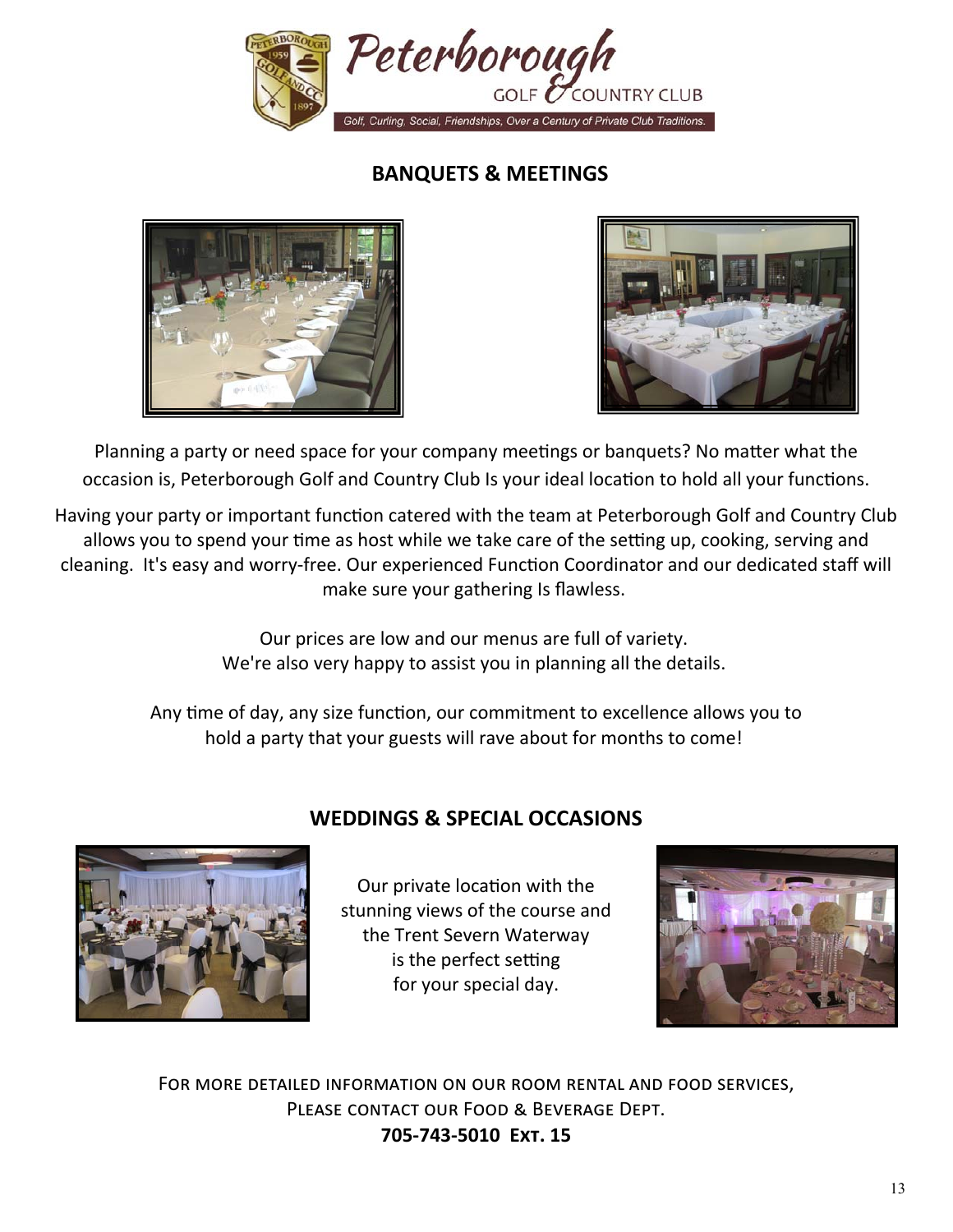

## **BANQUETS & MEETINGS**





Planning a party or need space for your company meetings or banquets? No matter what the occasion is, Peterborough Golf and Country Club Is your ideal location to hold all your functions.

Having your party or important function catered with the team at Peterborough Golf and Country Club allows you to spend your time as host while we take care of the setting up, cooking, serving and cleaning. It's easy and worry-free. Our experienced Function Coordinator and our dedicated staff will make sure your gathering Is flawless.

> Our prices are low and our menus are full of variety. We're also very happy to assist you in planning all the details.

Any time of day, any size function, our commitment to excellence allows you to hold a party that your guests will rave about for months to come!



## **WEDDINGS & SPECIAL OCCASIONS**

Our private location with the stunning views of the course and the Trent Severn Waterway is the perfect setting for your special day.



FOR MORE DETAILED INFORMATION ON OUR ROOM RENTAL AND FOOD SERVICES, PLEASE CONTACT OUR FOOD & BEVERAGE DEPT. **705‐743‐5010 Eøã. 15**